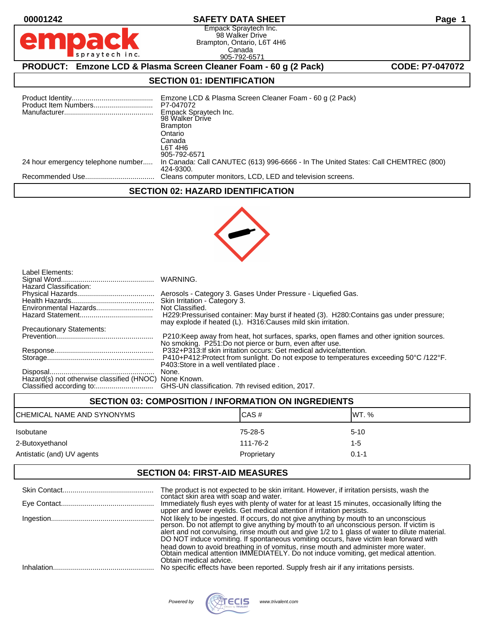spraytech inc.

# **00001242 SAFETY DATA SHEET Page 1**

Empack Spraytech Inc. 98 Walker Drive Brampton, Ontario, L6T 4H6 Canada 905-792-6571

**PRODUCT:** Emzone LCD & Plasma Screen Cleaner Foam - 60 g (2 Pack) **CODE: P7-047072** 

# **SECTION 01: IDENTIFICATION**

|                                    | Emzone LCD & Plasma Screen Cleaner Foam - 60 g (2 Pack)<br>P7-047072<br>Empack Spraytech Inc.<br>98 Walker Drive<br><b>Brampton</b><br>Ontario<br>Canada<br>L6T 4H6<br>905-792-6571 |
|------------------------------------|-------------------------------------------------------------------------------------------------------------------------------------------------------------------------------------|
| 24 hour emergency telephone number | In Canada: Call CANUTEC (613) 996-6666 - In The United States: Call CHEMTREC (800)<br>424-9300.                                                                                     |
|                                    | Cleans computer monitors, LCD, LED and television screens.                                                                                                                          |

### **SECTION 02: HAZARD IDENTIFICATION**



| Label Elements:<br>Hazard Classification:             |                                                                                                                                                           |
|-------------------------------------------------------|-----------------------------------------------------------------------------------------------------------------------------------------------------------|
|                                                       | Aerosols - Category 3. Gases Under Pressure - Liquefied Gas.                                                                                              |
|                                                       | Skin Irritation - Category 3.                                                                                                                             |
| Environmental Hazards                                 | Not Classified.                                                                                                                                           |
|                                                       | H229: Pressurised container: May burst if heated (3). H280: Contains gas under pressure;<br>may explode if heated (L). H316: Causes mild skin irritation. |
| <b>Precautionary Statements:</b>                      |                                                                                                                                                           |
|                                                       | P210: Keep away from heat, hot surfaces, sparks, open flames and other ignition sources.<br>No smoking. P251:Do not pierce or burn, even after use.       |
|                                                       | P332+P313: If skin irritation occurs: Get medical advice/attention.                                                                                       |
|                                                       | P410+P412:Protect from sunlight. Do not expose to temperatures exceeding 50°C /122°F.                                                                     |
|                                                       | P403: Store in a well ventilated place.                                                                                                                   |
|                                                       | None.                                                                                                                                                     |
| Hazard(s) not otherwise classified (HNOC) None Known. |                                                                                                                                                           |
|                                                       | GHS-UN classification. 7th revised edition, 2017.                                                                                                         |
|                                                       |                                                                                                                                                           |

| <b>SECTION 03: COMPOSITION / INFORMATION ON INGREDIENTS</b> |             |           |
|-------------------------------------------------------------|-------------|-----------|
| CHEMICAL NAME AND SYNONYMS                                  | CAS#        | IWT. %    |
| <b>Isobutane</b>                                            | 75-28-5     | $5-10$    |
| 2-Butoxyethanol                                             | 111-76-2    | 1-5       |
| Antistatic (and) UV agents                                  | Proprietary | $0.1 - 1$ |

# **SECTION 04: FIRST-AID MEASURES**

|            | The product is not expected to be skin irritant. However, if irritation persists, wash the contact skin area with soap and water.                                                                                                                                                                                                                                                                                                                                                                                                                                                   |
|------------|-------------------------------------------------------------------------------------------------------------------------------------------------------------------------------------------------------------------------------------------------------------------------------------------------------------------------------------------------------------------------------------------------------------------------------------------------------------------------------------------------------------------------------------------------------------------------------------|
|            | Immediately flush eyes with plenty of water for at least 15 minutes, occasionally lifting the<br>upper and lower eyelids. Get medical attention if irritation persists.                                                                                                                                                                                                                                                                                                                                                                                                             |
|            | Not likely to be ingested. If occurs, do not give anything by mouth to an unconscious<br>person. Do not attempt to give anything by mouth to an unconscious person. If victim is<br>alert and not convulsing, rinse mouth out and give 1/2 to 1 glass of water to dilute material.<br>DO NOT induce vomiting. If spontaneous vomiting occurs, have victim lean forward with<br>head down to avoid breathing in of vomitus, rinse mouth and administer more water.<br>Obtain medical attention IMMEDIATELY. Do not induce vomiting, get medical attention.<br>Obtain medical advice. |
| Inhalation | No specific effects have been reported. Supply fresh air if any irritations persists.                                                                                                                                                                                                                                                                                                                                                                                                                                                                                               |

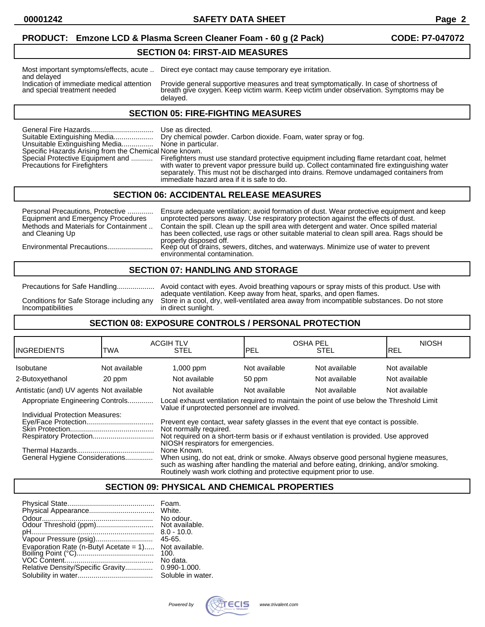**00001242 SAFETY DATA SHEET Page 2**

### **PRODUCT: Emzone LCD & Plasma Screen Cleaner Foam - 60 g (2 Pack) CODE: P7-047072**

#### **SECTION 04: FIRST-AID MEASURES**

and delayed<br>Indication of immediate medical attention

Most important symptoms/effects, acute .. Direct eye contact may cause temporary eye irritation.

Indication of immediate medical attention Provide general supportive measures and treat symptomatically. In case of shortness of and special treatment needed breath give oxygen. Keep victim warm. Keep victim under observat breath give oxygen. Keep victim warm. Keep victim under observation. Symptoms may be delayed.

#### **SECTION 05: FIRE-FIGHTING MEASURES**

|                                                        | Use as directed.                                                                                                             |
|--------------------------------------------------------|------------------------------------------------------------------------------------------------------------------------------|
| Suitable Extinguishing Media                           | Dry chemical powder. Carbon dioxide. Foam, water spray or fog.                                                               |
| Unsuitable Extinguishing Media None in particular.     |                                                                                                                              |
| Specific Hazards Arising from the Chemical None known. |                                                                                                                              |
|                                                        | Special Protective Equipment and  Firefighters must use standard protective equipment including flame retardant coat, helmet |
| Precautions for Firefighters                           | with water to prevent vapor pressure build up. Collect contaminated fire extinguishing water                                 |
|                                                        | separately. This must not be discharged into drains. Remove undamaged containers from                                        |
|                                                        | immediate hazard area if it is safe to do.                                                                                   |

### **SECTION 06: ACCIDENTAL RELEASE MEASURES**

Personal Precautions, Protective .............. Ensure adequate ventilation; avoid formation of dust. Wear protective equipment and keep<br>Equipment and Emergency Procedures unprotected persons away. Use respiratory protecti Equipment and Emergency Procedures unprotected persons away. Use respiratory protection against the effects of dust.<br>Methods and Materials for Containment .. Contain the spill. Clean up the spill area with detergent and wa Methods and Materials for Containment .. Contain the spill. Clean up the spill area with detergent and water. Once spilled material has been collected, use rags or other suitable material to clean spill area. Rags should be properly disposed off. Environmental Precautions....................... Keep out of drains, sewers, ditches, and waterways. Minimize use of water to prevent

### **SECTION 07: HANDLING AND STORAGE**

environmental contamination.

Precautions for Safe Handling................... Avoid contact with eyes. Avoid breathing vapours or spray mists of this product. Use with adequate ventilation. Keep away from heat, sparks, and open flames. Conditions for Safe Storage including any Store in a cool, dry, well-ventilated area away from incompatible substances. Do not store in direct sunlight.

### **SECTION 08: EXPOSURE CONTROLS / PERSONAL PROTECTION**

| IINGREDIENTS                                                                                                                                                                                                                                                                                               | TWA           | <b>ACGIH TLV</b><br><b>STEL</b>                                                                                                                                                                                                                                          | IPEL          | <b>OSHA PEL</b><br><b>STEL</b> | <b>NIOSH</b><br>IREL |
|------------------------------------------------------------------------------------------------------------------------------------------------------------------------------------------------------------------------------------------------------------------------------------------------------------|---------------|--------------------------------------------------------------------------------------------------------------------------------------------------------------------------------------------------------------------------------------------------------------------------|---------------|--------------------------------|----------------------|
| Isobutane                                                                                                                                                                                                                                                                                                  | Not available | $1,000$ ppm                                                                                                                                                                                                                                                              | Not available | Not available                  | Not available        |
| 2-Butoxyethanol                                                                                                                                                                                                                                                                                            | 20 ppm        | Not available                                                                                                                                                                                                                                                            | 50 ppm        | Not available                  | Not available        |
| Antistatic (and) UV agents Not available                                                                                                                                                                                                                                                                   |               | Not available                                                                                                                                                                                                                                                            | Not available | Not available                  | Not available        |
| Appropriate Engineering Controls                                                                                                                                                                                                                                                                           |               | Local exhaust ventilation required to maintain the point of use below the Threshold Limit<br>Value if unprotected personnel are involved.                                                                                                                                |               |                                |                      |
| Individual Protection Measures:<br>Prevent eye contact, wear safety glasses in the event that eye contact is possible.<br>Not normally required.<br>Not required on a short-term basis or if exhaust ventilation is provided. Use approved<br>Respiratory Protection<br>NIOSH respirators for emergencies. |               |                                                                                                                                                                                                                                                                          |               |                                |                      |
| General Hygiene Considerations                                                                                                                                                                                                                                                                             |               | None Known.<br>When using, do not eat, drink or smoke. Always observe good personal hygiene measures,<br>such as washing after handling the material and before eating, drinking, and/or smoking.<br>Routinely wash work clothing and protective equipment prior to use. |               |                                |                      |

### **SECTION 09: PHYSICAL AND CHEMICAL PROPERTIES**

|                                   | Foam.             |
|-----------------------------------|-------------------|
|                                   | White.            |
|                                   | No odour.         |
| Odour Threshold (ppm)             | Not available.    |
|                                   | $8.0 - 10.0$      |
| Vapour Pressure (psig)            | $45 - 65$         |
|                                   | Not available.    |
|                                   | 100.              |
|                                   | No data.          |
| Relative Density/Specific Gravity | $0.990 - 1.000.$  |
|                                   | Soluble in water. |

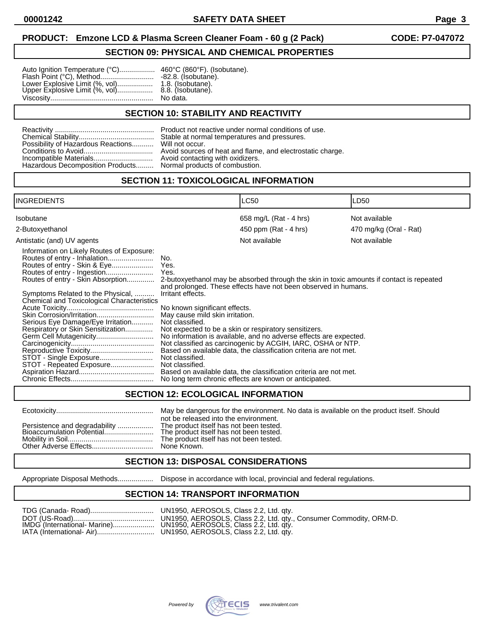**00001242 SAFETY DATA SHEET Page 3**

### **PRODUCT: Emzone LCD & Plasma Screen Cleaner Foam - 60 g (2 Pack) CODE: P7-047072**

### **SECTION 09: PHYSICAL AND CHEMICAL PROPERTIES**

| Auto Ignition Temperature (°C) 460°C (860°F). (I                                                     |                   |
|------------------------------------------------------------------------------------------------------|-------------------|
| Flash Point (°C), Method                                                                             | -82.8. (Isobutane |
| Lower Explosive Limit (%, vol) 1.8. (Isobutane).<br>Upper Explosive Limit (%, vol) 8.8. (Isobutane). |                   |
|                                                                                                      |                   |
|                                                                                                      |                   |

460°C (860°F). (Isobutane).  $-82.8.$  (Isobutane). No data.

### **SECTION 10: STABILITY AND REACTIVITY**

| Possibility of Hazardous Reactions |
|------------------------------------|
|                                    |
| Incompatible Materials             |
| Hazardous Decomposition Products   |

Product not reactive under normal conditions of use. Stable at normal temperatures and pressures. Will not occur. Avoid sources of heat and flame, and electrostatic charge. Avoid contacting with oxidizers. Normal products of combustion.

### **SECTION 11: TOXICOLOGICAL INFORMATION**

| INGREDIENTS                                                                                                                                                                                                                                                                                                                                                                                     | LC50                                                                                                                                                                                                                                                                                                                                                                                                                                                                                                                                                                                                                                                                                                                                 | LD50                   |
|-------------------------------------------------------------------------------------------------------------------------------------------------------------------------------------------------------------------------------------------------------------------------------------------------------------------------------------------------------------------------------------------------|--------------------------------------------------------------------------------------------------------------------------------------------------------------------------------------------------------------------------------------------------------------------------------------------------------------------------------------------------------------------------------------------------------------------------------------------------------------------------------------------------------------------------------------------------------------------------------------------------------------------------------------------------------------------------------------------------------------------------------------|------------------------|
| Isobutane                                                                                                                                                                                                                                                                                                                                                                                       | 658 mg/L (Rat - 4 hrs)                                                                                                                                                                                                                                                                                                                                                                                                                                                                                                                                                                                                                                                                                                               | Not available          |
| 2-Butoxyethanol                                                                                                                                                                                                                                                                                                                                                                                 | 450 ppm (Rat - 4 hrs)                                                                                                                                                                                                                                                                                                                                                                                                                                                                                                                                                                                                                                                                                                                | 470 mg/kg (Oral - Rat) |
| Antistatic (and) UV agents                                                                                                                                                                                                                                                                                                                                                                      | Not available                                                                                                                                                                                                                                                                                                                                                                                                                                                                                                                                                                                                                                                                                                                        | Not available          |
| Information on Likely Routes of Exposure:<br>Routes of entry - Skin & Eye<br>Routes of entry - Skin Absorption<br>Symptoms Related to the Physical,<br><b>Chemical and Toxicological Characteristics</b><br>Skin Corrosion/Irritation<br>Serious Eye Damage/Eye Irritation<br>Respiratory or Skin Sensitization<br>Germ Cell Mutagenicity<br>STOT - Single Exposure<br>STOT - Repeated Exposure | No.<br>Yes.<br>Yes.<br>2-butoxyethanol may be absorbed through the skin in toxic amounts if contact is repeated<br>and prolonged. These effects have not been observed in humans.<br>Irritant effects.<br>No known significant effects.<br>May cause mild skin irritation.<br>Not classified.<br>Not expected to be a skin or respiratory sensitizers.<br>No information is available, and no adverse effects are expected.<br>Not classified as carcinogenic by ACGIH, IARC, OSHA or NTP.<br>Based on available data, the classification criteria are not met.<br>Not classified.<br>Not classified.<br>Based on available data, the classification criteria are not met.<br>No long term chronic effects are known or anticipated. |                        |

### **SECTION 12: ECOLOGICAL INFORMATION**

### Ecotoxicity................................................. May be dangerous for the environment. No data is available on the product itself. Should not be released into the environment. The product itself has not been tested.<br>The product itself has not been tested. The product itself has not been tested. None Known.

### **SECTION 13: DISPOSAL CONSIDERATIONS**

Appropriate Disposal Methods.................. Dispose in accordance with local, provincial and federal regulations.

## **SECTION 14: TRANSPORT INFORMATION**